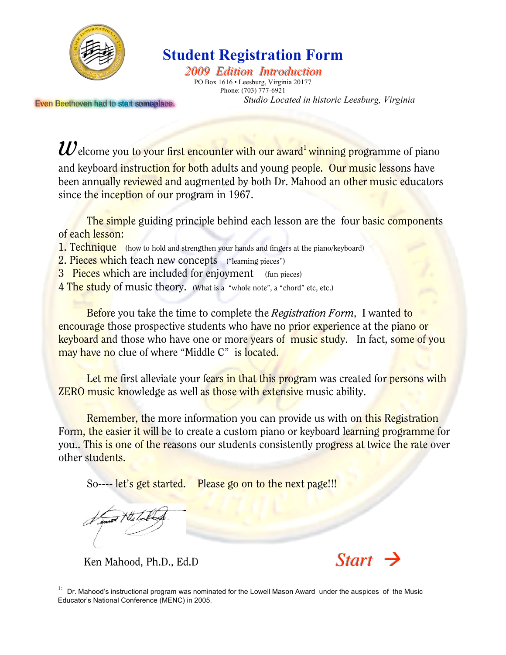

# **Student Registration Form**

**2009 Edition Introduction** PO Box 1616 • Leesburg, Virginia 20177 Phone: (703) 777-6921 *Studio Located in historic Leesburg, Virginia*

Even Beethoven had to start someplace.

*W* elcome you to your first encounter with our award<sup>1</sup> winning programme of piano and keyboard instruction for both adults and young people. Our music lessons have been annually reviewed and augmented by both Dr. Mahood an other music educators since the inception of our program in 1967.

The simple guiding principle behind each lesson are the four basic components of each lesson:

- 1. Technique (how to hold and strengthen your hands and fingers at the piano/keyboard)
- 2. Pieces which teach new concepts ("learning pieces")
- 3 Pieces which are included for enjoyment (fun pieces)
- 4 The study of music theory. (What is a "whole note", a "chord" etc, etc.)

Before you take the time to complete the *Registration Form*, I wanted to encourage those prospective students who have no prior experience at the piano or keyboard and those who have one or more years of music study. In fact, some of you may have no clue of where "Middle C" is located.

Let me first alleviate your fears in that this program was created for persons with **ZERO music knowledge as well as those with extensive music ability.** 

Remember, the more information you can provide us with on this Registration Form, the easier it will be to create a custom piano or keyboard learning programme for you.. This is one of the reasons our students consistently progress at twice the rate over other students.

So---- let's get started. Please go on to the next page!!!

Ken Mahood, Ph.D., Ed.D **Start** 



<sup>&</sup>lt;sup>1:</sup> Dr. Mahood's instructional program was nominated for the Lowell Mason Award under the auspices of the Music Educator's National Conference (MENC) in 2005.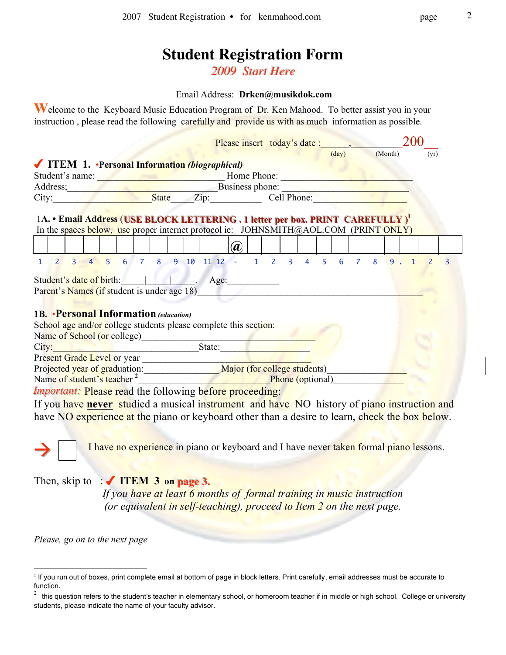# **Student Registration Form**

**2009** Start Here

#### Email Address: **Drken@musikdok.com**

**W**elcome to the Keyboard Music Education Program of Dr. Ken Mahood. To better assist you in your instruction , please read the following carefully and provide us with as much information as possible.

|                                                                                                                       |  |  | Please insert today's date:   |  |  |                 |  |         | 200 |                |   |
|-----------------------------------------------------------------------------------------------------------------------|--|--|-------------------------------|--|--|-----------------|--|---------|-----|----------------|---|
|                                                                                                                       |  |  |                               |  |  | $\frac{day}{y}$ |  | (Month) |     | (yr)           |   |
| ✔ ITEM 1. •Personal Information (biographical)                                                                        |  |  |                               |  |  |                 |  |         |     |                |   |
| Student's name: Home Phone:                                                                                           |  |  |                               |  |  |                 |  |         |     |                |   |
| Address;<br>City: State Zip: City: City: State Zip: Cell Phone:                                                       |  |  |                               |  |  |                 |  |         |     |                |   |
|                                                                                                                       |  |  |                               |  |  |                 |  |         |     |                |   |
|                                                                                                                       |  |  |                               |  |  |                 |  |         |     |                |   |
| 1A. • Email Address (USE BLOCK LETTERING . 1 letter per box. PRINT CAREFULLY) <sup>1</sup>                            |  |  |                               |  |  |                 |  |         |     |                |   |
| In the spaces below, use proper internet protocol ie: JOHNSMITH@AOL.COM (PRINT ONLY)                                  |  |  |                               |  |  |                 |  |         |     |                |   |
|                                                                                                                       |  |  | $\left(\boldsymbol{a}\right)$ |  |  |                 |  |         |     |                |   |
| 3 4 5 6 7 8 9 10 11 12 - 1 2 3 4 5 6 7 8 9 1<br>$\overline{2}$<br>1                                                   |  |  |                               |  |  |                 |  |         |     | $\overline{z}$ | 3 |
|                                                                                                                       |  |  |                               |  |  |                 |  |         |     |                |   |
| Student's date of birth: Age: Age:                                                                                    |  |  |                               |  |  |                 |  |         |     |                |   |
| Parent's Names (if student is under age 18)                                                                           |  |  |                               |  |  |                 |  |         |     |                |   |
|                                                                                                                       |  |  |                               |  |  |                 |  |         |     |                |   |
| <b>1B. • Personal Information (education)</b>                                                                         |  |  |                               |  |  |                 |  |         |     |                |   |
| School age and/or college students please complete this section:                                                      |  |  |                               |  |  |                 |  |         |     |                |   |
| Name of School (or college)<br><u>Letter and the set of School (or college)</u>                                       |  |  |                               |  |  |                 |  |         |     |                |   |
| <u>State:</u><br>City:                                                                                                |  |  |                               |  |  |                 |  |         |     |                |   |
| Present Grade Level or year                                                                                           |  |  |                               |  |  |                 |  |         |     |                |   |
|                                                                                                                       |  |  |                               |  |  |                 |  |         |     |                |   |
| Projected year of graduation: Major (for college students)<br>Name of student's teacher <sup>2</sup> Phone (optional) |  |  |                               |  |  |                 |  |         |     |                |   |
| <i>Important:</i> Please read the following before proceeding:                                                        |  |  |                               |  |  |                 |  |         |     |                |   |
| If you have never studied a musical instrument and have NO history of piano instruction and                           |  |  |                               |  |  |                 |  |         |     |                |   |
| have NO experience at the piano or keyboard other than a desire to learn, check the box below.                        |  |  |                               |  |  |                 |  |         |     |                |   |
|                                                                                                                       |  |  |                               |  |  |                 |  |         |     |                |   |
|                                                                                                                       |  |  |                               |  |  |                 |  |         |     |                |   |

I have no experience in piano or keyboard and I have never taken formal piano lessons.

# Then, skip to  $\div$  **ITEM** 3 on page 3.

*If you have at least 6 months of formal training in music instruction (or equivalent in self-teaching), proceed to Item 2 on the next page.*

*Please, go on to the next page*

<sup>&</sup>lt;sup>1</sup> If you run out of boxes, print complete email at bottom of page in block letters. Print carefully, email addresses must be accurate to function.

 $2$  this question refers to the student's teacher in elementary school, or homeroom teacher if in middle or high school. College or university students, please indicate the name of your faculty advisor.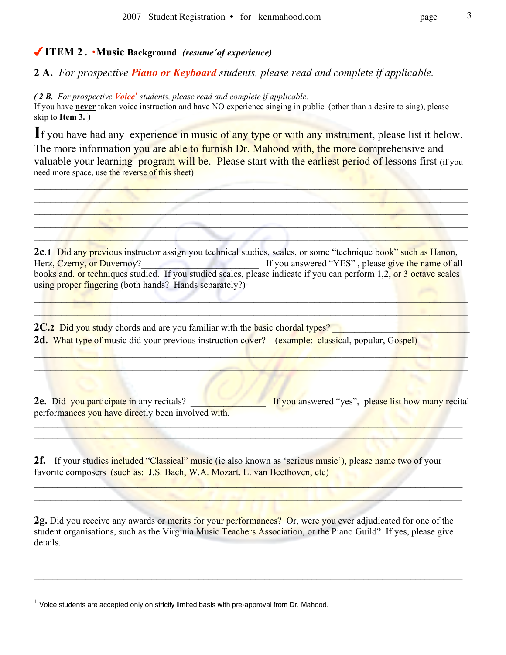## **ITEM 2 .** •**Music Background** *(resume´of experience)*

**2 A.** *For prospective Piano or Keyboard students, please read and complete if applicable.*

*( 2 B. For prospective Voice<sup>1</sup> students, please read and complete if applicable.* If you have **never** taken voice instruction and have NO experience singing in public (other than a desire to sing), please skip to **Item 3. )**

If you have had any experience in music of any type or with any instrument, please list it below. The more information you are able to furnish Dr. Mahood with, the more comprehensive and valuable your learning program will be. Please start with the earliest period of lessons first (if you need more space, use the reverse of this sheet)

 $\mathcal{L} = \{ \mathcal{L} \mid \mathcal{L} \in \mathcal{L} \}$ 

\_\_\_\_\_\_\_\_\_\_\_\_\_\_\_\_\_\_\_\_\_\_\_\_\_\_\_\_\_\_\_\_\_\_\_\_\_\_\_\_\_\_\_\_\_\_\_\_\_\_\_\_\_\_\_\_\_\_\_\_\_\_\_\_\_\_\_\_\_\_\_\_\_\_\_\_\_\_\_  $\mathcal{L}$  ,  $\mathcal{L}$  ,  $\mathcal{L}$  ,  $\mathcal{L}$  ,  $\mathcal{L}$  ,  $\mathcal{L}$  ,  $\mathcal{L}$  ,  $\mathcal{L}$  ,  $\mathcal{L}$  ,  $\mathcal{L}$  ,  $\mathcal{L}$  ,  $\mathcal{L}$  ,  $\mathcal{L}$  ,  $\mathcal{L}$  ,  $\mathcal{L}$  ,  $\mathcal{L}$  ,  $\mathcal{L}$  ,  $\mathcal{L}$  ,  $\mathcal{L}$  ,  $\mathcal{L}$  ,

**2c**.1 Did any previous instructor assign you technical studies, scales, or some "technique book" such as Hanon, Herz, Czerny, or Duvernoy? The state of all and the state of all and the name of all and the name of all and the name of all and the name of all and the name of all and the name of all and the name of all and the name of a books and, or techniques studied. If you studied scales, please indicate if you can perform 1,2, or 3 octave scales using proper fingering (both hands? Hands separately?)

\_\_\_\_\_\_\_\_\_\_\_\_\_\_\_\_\_\_\_\_\_\_\_\_\_\_\_\_\_\_\_\_\_\_\_\_\_\_\_\_\_\_\_\_\_\_\_\_\_\_\_\_\_\_\_\_\_\_\_\_\_\_\_\_\_\_\_\_\_\_\_\_\_\_\_\_\_\_\_

\_\_\_\_\_\_\_\_\_\_\_\_\_\_\_\_\_\_\_\_\_\_\_\_\_\_\_\_\_\_\_\_\_\_\_\_\_\_\_\_\_\_\_\_\_\_\_\_\_\_\_\_\_\_\_\_\_\_\_\_\_\_\_\_\_\_\_\_\_\_\_\_\_\_\_\_\_\_\_  $\Box$  $\mathcal{L} = \{ \mathcal{L} \mid \mathcal{L} \in \mathcal{L} \}$ 

**2C.2** Did you study chords and are you familiar with the basic chordal types? **2d.** What type of music did your previous instruction cover? (example: classical, popular, Gospel)

**2e.** Did you participate in any recitals? **Example 15 If you answered "yes"**, please list how many recital performances you have directly been involved with.

 $\Box$  . The state of the state of the state of the state of the state of the state of the state of the state of  $\mathcal{L}_1$  , and the set of the set of the set of the set of the set of the set of the set of the set of the set of the set of the set of the set of the set of the set of the set of the set of the set of the set of the set  $\mathcal{L}_\mathcal{A}$  and  $\mathcal{L}_\mathcal{A}$  and  $\mathcal{L}_\mathcal{A}$  and  $\mathcal{L}_\mathcal{A}$  and  $\mathcal{L}_\mathcal{A}$  and  $\mathcal{L}_\mathcal{A}$  and  $\mathcal{L}_\mathcal{A}$ 

 $\mathcal{L} = \{ \mathcal{L} \mid \mathcal{L} \in \mathcal{L} \}$  , and the set of  $\mathcal{L} = \{ \mathcal{L} \mid \mathcal{L} \in \mathcal{L} \}$ 

2f. If your studies included "Classical" music (ie also known as 'serious music'), please name two of your favorite composers (such as: J.S. Bach, W.A. Mozart, L. van Beethoven, etc)

**2g.** Did you receive any awards or merits for your performances? Or, were you ever adjudicated for one of the student organisations, such as the Virginia Music Teachers Association, or the Piano Guild? If yes, please give details.

 $\_$ 

 $\_$ 

 $1$  Voice students are accepted only on strictly limited basis with pre-approval from Dr. Mahood.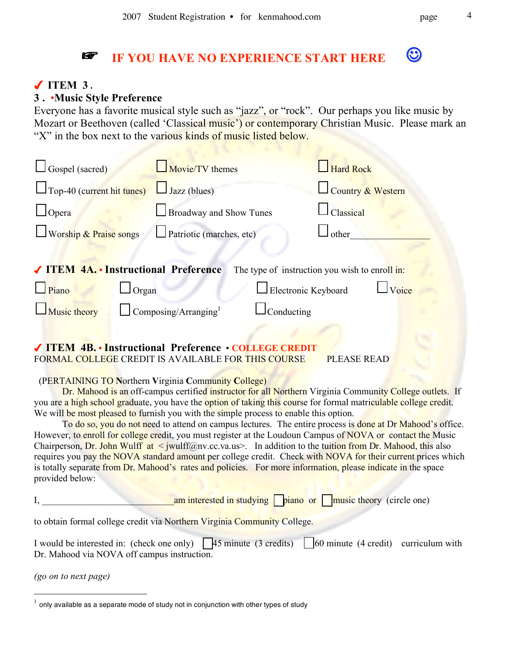# **IF YOU HAVE NO EXPERIENCE START HERE**

# **ITEM 3 .**

### **3 .** •**Music Style Preference**

Everyone has a favorite musical style such as "jazz", or "rock". Our perhaps you like music by Mozart or Beethoven (called 'Classical music') or contemporary Christian Music. Please mark an "X" in the box next to the various kinds of music listed below.

| $\Box$ Gospel (sacred)                                 | Movie/TV themes                         |                                                | Hard Rock         |       |
|--------------------------------------------------------|-----------------------------------------|------------------------------------------------|-------------------|-------|
| $\Box$ Top-40 (current hit tunes)                      | $\Box$ Jazz (blues)                     |                                                | Country & Western |       |
| $\Box$ Opera                                           | <b>Broadway and Show Tunes</b>          |                                                | Classical         |       |
| $\Box$ Worship & Praise songs                          | $\Box$ Patriotic (marches, etc)         |                                                | l other           |       |
|                                                        |                                         |                                                |                   |       |
| √ ITEM 4A. • Instructional Preference                  |                                         | The type of instruction you wish to enroll in: |                   |       |
| $\Box$ Piano<br>Organ                                  |                                         | Electronic Keyboard                            |                   | Voice |
| $\Box$ Music theory                                    | $\Box$ Composing/Arranging <sup>1</sup> | Conducting                                     |                   |       |
|                                                        |                                         |                                                |                   |       |
| √ ITEM 4B. • Instructional Preference • COLLEGE CREDIT |                                         |                                                |                   |       |

FORMAL COLLEGE CREDIT IS AVAILABLE FOR THIS COURSE PLEASE READ

(PERTAINING TO **N**orthern **V**irginia **C**ommunity **C**ollege)

Dr. Mahood is an off-campus certified instructor for all Northern Virginia Community College outlets. If you are a high school graduate, you have the option of taking this course for formal matriculable college credit. We will be most pleased to furnish you with the simple process to enable this option.

To do so, you do not need to attend on campus lectures. The entire process is done at Dr Mahood's office. However, to enroll for college credit, you must register at the Loudoun Campus of NOVA or contact the Music Chairperson, Dr. John Wulff at  $\le$  jwulff@nv.cc.va.us>. In addition to the tuition from Dr. Mahood, this also requires you pay the NOVA standard amount per college credit. Check with NOVA for their current prices which is totally separate from Dr. Mahood's rates and policies. For more information, please indicate in the space provided below:

|  |  |  | $\frac{1}{2}$ am interested in studying $\frac{1}{2}$ piano or $\frac{1}{2}$ music theory (circle one) |
|--|--|--|--------------------------------------------------------------------------------------------------------|
|--|--|--|--------------------------------------------------------------------------------------------------------|

to obtain formal college credit via Northern Virginia Community College.

I would be interested in: (check one only)  $\sqrt{45}$  minute (3 credits)  $\sqrt{60}$  minute (4 credit) curriculum with Dr. Mahood via NOVA off campus instruction.

*(go on to next page)*

 $^{\rm 1}$  only available as a separate mode of study not in conjunction with other types of study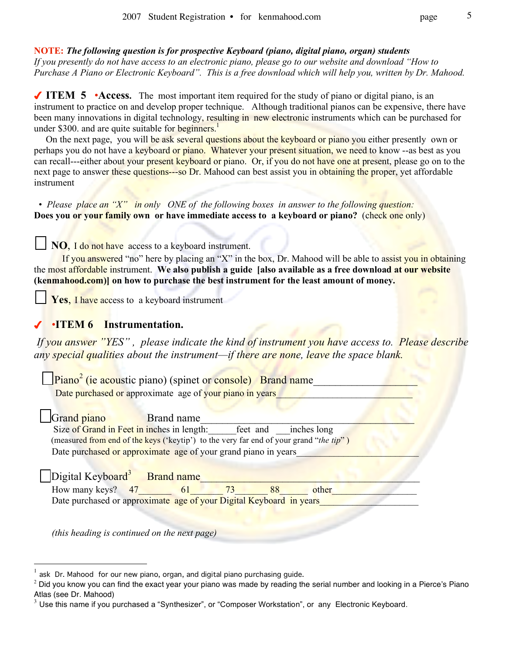#### **NOTE:** *The following question is for prospective Keyboard (piano, digital piano, organ) students*

*If you presently do not have access to an electronic piano, please go to our website and download "How to Purchase A Piano or Electronic Keyboard". This is a free download which will help you, written by Dr. Mahood.*

◆ **ITEM** 5 •Access. The most important item required for the study of piano or digital piano, is an instrument to practice on and develop proper technique. Although traditional pianos can be expensive, there have been many innovations in digital technology, resulting in new electronic instruments which can be purchased for under \$300. and are quite suitable for beginners.<sup>1</sup>

On the next page, you will be ask several questions about the keyboard or piano you either presently own or perhaps you do not have a keyboard or piano. Whatever your present situation, we need to know --as best as you can recall---either about your present keyboard or piano. Or, if you do not have one at present, please go on to the next page to answer these questions---so Dr. Mahood can best assist you in obtaining the proper, yet affordable instrument

• *Please place an "X" in only ONE of the following boxes in answer to the following question:* **Does you or your family own or have immediate access to a keyboard or piano?** (check one only)

**NO**, I do not have access to a keyboard instrument.

If you answered "no" here by placing an "X" in the box, Dr. Mahood will be able to assist you in obtaining the most affordable instrument. **We also publish a guide [also available as a free download at our website (kenmahood.com)] on how to purchase the best instrument for the least amount of money.**

Yes, I have access to a keyboard instrument

### •**ITEM 6 Instrumentation.**

*If you answer "YES" , please indicate the kind of instrument you have access to. Please describe any special qualities about the instrument—if there are none, leave the space blank.*

 $\Box$ Piano<sup>2</sup> (ie acoustic piano) (spinet or console) Brand name Date purchased or approximate age of your piano in years Grand piano Brand name Size of Grand in Feet in inches in length: feet and inches long (measured from end of the keys ('keytip') to the very far end of your grand "*the tip*" ) Date purchased or approximate age of your grand piano in years Digital Keyboard<sup>3</sup> Brand name

How many keys?  $47$  61  $73$  88 other Date purchased or approximate age of your Digital Keyboard in years

*(this heading is continued on the next page)*

ask Dr. Mahood for our new piano, organ, and digital piano purchasing guide.

 $2$  Did you know you can find the exact year your piano was made by reading the serial number and looking in a Pierce's Piano Atlas (see Dr. Mahood)

 $3$  Use this name if you purchased a "Synthesizer", or "Composer Workstation", or any Electronic Keyboard.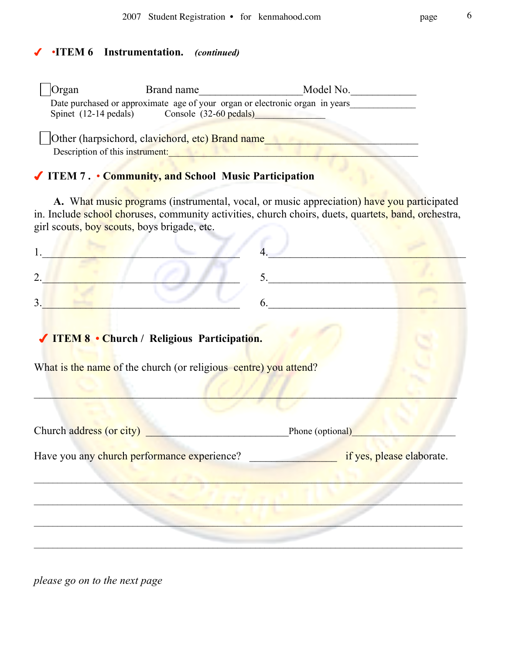# •**ITEM 6 Instrumentation.** *(continued)*

| <b>Organ</b>                                                                       | Brand name                       | Model No.                                                                    |
|------------------------------------------------------------------------------------|----------------------------------|------------------------------------------------------------------------------|
| Spinet $(12-14 \text{ pedals})$                                                    | Console $(32-60 \text{ pedals})$ | Date purchased or approximate age of your organ or electronic organ in years |
| Other (harpsichord, clavichord, etc) Brand name<br>Description of this instrument: |                                  |                                                                              |

# **ITEM 7 .** • **Community, and School Music Participation**

**A.** What music programs (instrumental, vocal, or music appreciation) have you participated in. Include school choruses, community activities, church choirs, duets, quartets, band, orchestra, girl scouts, boy scouts, boys brigade, etc.

| $\overline{2}$ .                                                 | 5. $\qquad \qquad$            |                           |
|------------------------------------------------------------------|-------------------------------|---------------------------|
| 3.                                                               | $6. \underline{\hspace{2cm}}$ |                           |
| √ ITEM 8 • Church / Religious Participation.                     |                               |                           |
| What is the name of the church (or religious centre) you attend? |                               |                           |
|                                                                  |                               |                           |
| Church address (or city)                                         | Phone (optional)              |                           |
| Have you any church performance experience?                      |                               | if yes, please elaborate. |
|                                                                  |                               |                           |
|                                                                  |                               |                           |
|                                                                  |                               |                           |
|                                                                  |                               |                           |

*please go on to the next page*